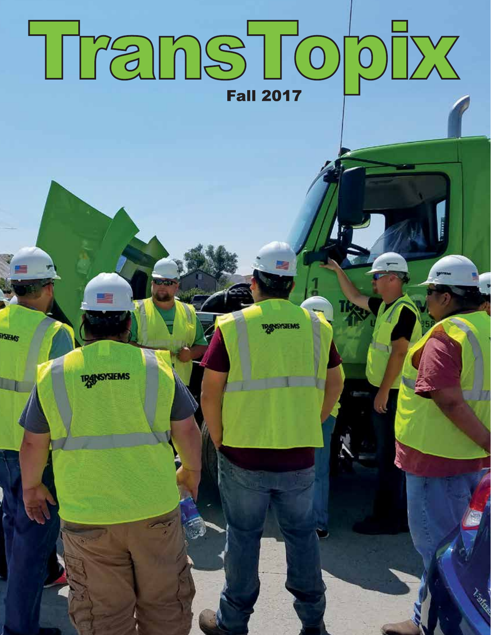# TransTopIx **Fall 2017**

**SYSTEMS**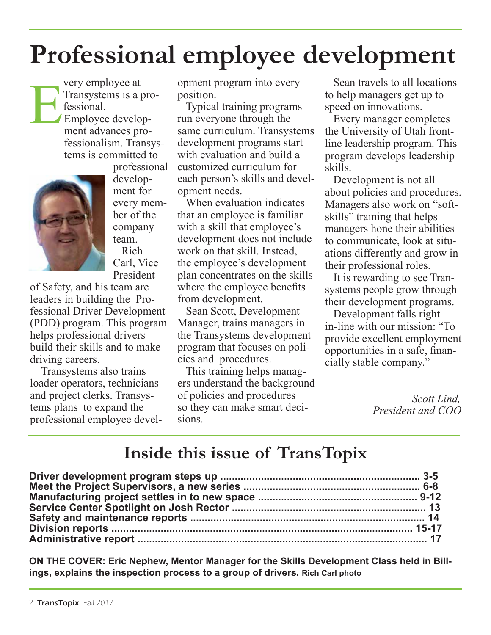# **Professional employee development**



E

fessional. Employee development advances professionalism. Transystems is committed to professional development for every member of the

very employee at Transystems is a pro-

> company team. Rich Carl, Vice President

of Safety, and his team are leaders in building the Professional Driver Development (PDD) program. This program helps professional drivers build their skills and to make driving careers.

 Transystems also trains loader operators, technicians and project clerks. Transystems plans to expand the professional employee development program into every position.

 Typical training programs run everyone through the same curriculum. Transystems development programs start with evaluation and build a customized curriculum for each person's skills and development needs.

 When evaluation indicates that an employee is familiar with a skill that employee's development does not include work on that skill. Instead, the employee's development plan concentrates on the skills where the employee benefits from development.

 Sean Scott, Development Manager, trains managers in the Transystems development program that focuses on policies and procedures.

 This training helps managers understand the background of policies and procedures so they can make smart decisions.

 Sean travels to all locations to help managers get up to speed on innovations.

 Every manager completes the University of Utah frontline leadership program. This program develops leadership skills.

 Development is not all about policies and procedures. Managers also work on "softskills" training that helps managers hone their abilities to communicate, look at situations differently and grow in their professional roles.

 It is rewarding to see Transystems people grow through their development programs.

 Development falls right in-line with our mission: "To provide excellent employment opportunities in a safe, financially stable company."

> *Scott Lind, President and COO*

### **Inside this issue of TransTopix**

**ON THE COVER: Eric Nephew, Mentor Manager for the Skills Development Class held in Billings, explains the inspection process to a group of drivers. Rich Carl photo**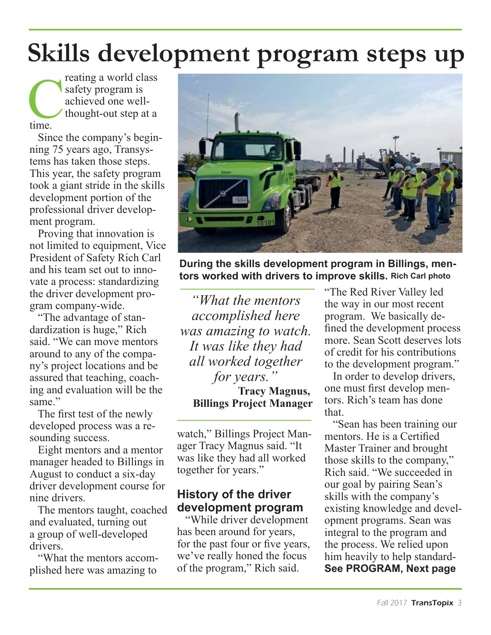# **Skills development program steps up**

reating a world class safety program is achieved one wellthought-out step at a time.

 Since the company's beginning 75 years ago, Transystems has taken those steps. This year, the safety program took a giant stride in the skills development portion of the professional driver development program.

 Proving that innovation is not limited to equipment, Vice President of Safety Rich Carl and his team set out to innovate a process: standardizing the driver development program company-wide.

 "The advantage of standardization is huge," Rich said. "We can move mentors around to any of the company's project locations and be assured that teaching, coaching and evaluation will be the same"

 The first test of the newly developed process was a resounding success.

 Eight mentors and a mentor manager headed to Billings in August to conduct a six-day driver development course for nine drivers.

 The mentors taught, coached and evaluated, turning out a group of well-developed drivers.

 "What the mentors accomplished here was amazing to



**During the skills development program in Billings, mentors worked with drivers to improve skills. Rich Carl photo** 

*"What the mentors accomplished here was amazing to watch. It was like they had all worked together for years."*

**Tracy Magnus, Billings Project Manager**

watch," Billings Project Manager Tracy Magnus said. "It was like they had all worked together for years."

#### **History of the driver development program**

 "While driver development has been around for years, for the past four or five years, we've really honed the focus of the program," Rich said.

"The Red River Valley led the way in our most recent program. We basically defined the development process more. Sean Scott deserves lots of credit for his contributions to the development program."

 In order to develop drivers, one must first develop mentors. Rich's team has done that.

 "Sean has been training our mentors. He is a Certified Master Trainer and brought those skills to the company," Rich said. "We succeeded in our goal by pairing Sean's skills with the company's existing knowledge and development programs. Sean was integral to the program and the process. We relied upon him heavily to help standard-**See PROGRAM, Next page**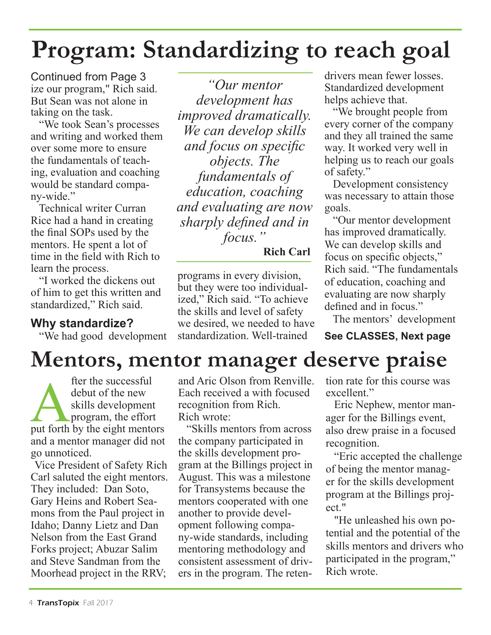# **Program: Standardizing to reach goal**

Continued from Page 3 ize our program," Rich said. But Sean was not alone in taking on the task.

 "We took Sean's processes and writing and worked them over some more to ensure the fundamentals of teaching, evaluation and coaching would be standard company-wide."

 Technical writer Curran Rice had a hand in creating the final SOPs used by the mentors. He spent a lot of time in the field with Rich to learn the process.

 "I worked the dickens out of him to get this written and standardized," Rich said.

#### **Why standardize?**

"We had good development

*"Our mentor development has improved dramatically. We can develop skills and focus on specific objects. The fundamentals of education, coaching and evaluating are now sharply defined and in focus."*

**Rich Carl** 

programs in every division, but they were too individualized," Rich said. "To achieve the skills and level of safety we desired, we needed to have standardization. Well-trained

drivers mean fewer losses. Standardized development helps achieve that.

 "We brought people from every corner of the company and they all trained the same way. It worked very well in helping us to reach our goals of safety."

 Development consistency was necessary to attain those goals.

 "Our mentor development has improved dramatically. We can develop skills and focus on specific objects," Rich said. "The fundamentals of education, coaching and evaluating are now sharply defined and in focus."

The mentors' development

**See CLASSES, Next page** 

### **Mentors, mentor manager deserve praise**

fter the successful<br>debut of the new<br>skills development<br>program, the effort<br>put forth by the eight mentors debut of the new skills development program, the effort and a mentor manager did not go unnoticed.

Vice President of Safety Rich Carl saluted the eight mentors. They included: Dan Soto, Gary Heins and Robert Seamons from the Paul project in Idaho; Danny Lietz and Dan Nelson from the East Grand Forks project; Abuzar Salim and Steve Sandman from the Moorhead project in the RRV;

and Aric Olson from Renville. Each received a with focused recognition from Rich. Rich wrote:

 "Skills mentors from across the company participated in the skills development program at the Billings project in August. This was a milestone for Transystems because the mentors cooperated with one another to provide development following company-wide standards, including mentoring methodology and consistent assessment of drivers in the program. The retention rate for this course was excellent."

 Eric Nephew, mentor manager for the Billings event, also drew praise in a focused recognition.

 "Eric accepted the challenge of being the mentor manager for the skills development program at the Billings project."

 "He unleashed his own potential and the potential of the skills mentors and drivers who participated in the program," Rich wrote.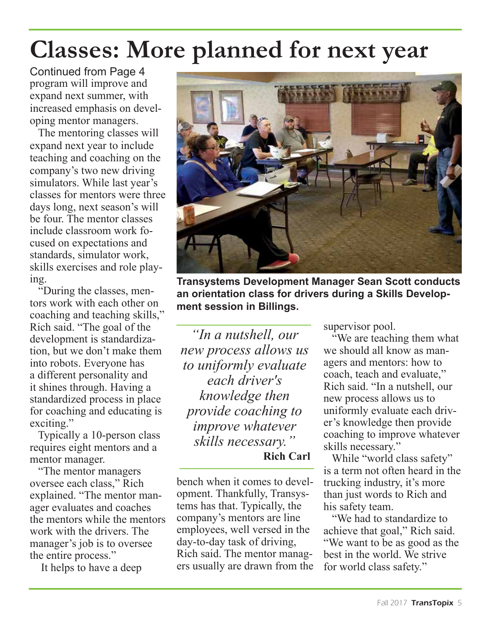# **Classes: More planned for next year**

Continued from Page 4 program will improve and expand next summer, with increased emphasis on developing mentor managers.

 The mentoring classes will expand next year to include teaching and coaching on the company's two new driving simulators. While last year's classes for mentors were three days long, next season's will be four. The mentor classes include classroom work focused on expectations and standards, simulator work, skills exercises and role playing.

 "During the classes, mentors work with each other on coaching and teaching skills," Rich said. "The goal of the development is standardization, but we don't make them into robots. Everyone has a different personality and it shines through. Having a standardized process in place for coaching and educating is exciting."

 Typically a 10-person class requires eight mentors and a mentor manager.

 "The mentor managers oversee each class," Rich explained. "The mentor manager evaluates and coaches the mentors while the mentors work with the drivers. The manager's job is to oversee the entire process."

It helps to have a deep



**Transystems Development Manager Sean Scott conducts an orientation class for drivers during a Skills Development session in Billings.**

*"In a nutshell, our new process allows us to uniformly evaluate each driver's knowledge then provide coaching to improve whatever skills necessary."* **Rich Carl** 

bench when it comes to development. Thankfully, Transystems has that. Typically, the company's mentors are line employees, well versed in the day-to-day task of driving, Rich said. The mentor managers usually are drawn from the supervisor pool.

 "We are teaching them what we should all know as managers and mentors: how to coach, teach and evaluate," Rich said. "In a nutshell, our new process allows us to uniformly evaluate each driver's knowledge then provide coaching to improve whatever skills necessary."

 While "world class safety" is a term not often heard in the trucking industry, it's more than just words to Rich and his safety team.

 "We had to standardize to achieve that goal," Rich said. "We want to be as good as the best in the world. We strive for world class safety."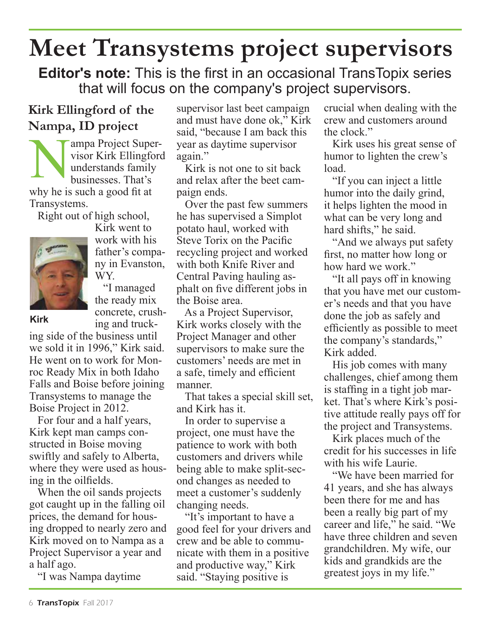### **Meet Transystems project supervisors**

**Editor's note:** This is the first in an occasional TransTopix series that will focus on the company's project supervisors.

### **Kirk Ellingford of the Nampa, ID project**

ampa Project Supervisor Kirk Ellingford understands family businesses. That's why he is such a good fit at Transystems.

Right out of high school,



Kirk went to work with his father's company in Evanston, WY.

 "I managed the ready mix concrete, crushing and truck-

#### **Kirk**

ing side of the business until we sold it in 1996," Kirk said. He went on to work for Monroc Ready Mix in both Idaho Falls and Boise before joining Transystems to manage the Boise Project in 2012.

 For four and a half years, Kirk kept man camps constructed in Boise moving swiftly and safely to Alberta, where they were used as housing in the oilfields.

 When the oil sands projects got caught up in the falling oil prices, the demand for housing dropped to nearly zero and Kirk moved on to Nampa as a Project Supervisor a year and a half ago.

"I was Nampa daytime

supervisor last beet campaign and must have done ok," Kirk said, "because I am back this year as daytime supervisor again."

 Kirk is not one to sit back and relax after the beet campaign ends.

 Over the past few summers he has supervised a Simplot potato haul, worked with Steve Torix on the Pacific recycling project and worked with both Knife River and Central Paving hauling asphalt on five different jobs in the Boise area.

 As a Project Supervisor, Kirk works closely with the Project Manager and other supervisors to make sure the customers' needs are met in a safe, timely and efficient manner.

 That takes a special skill set, and Kirk has it.

 In order to supervise a project, one must have the patience to work with both customers and drivers while being able to make split-second changes as needed to meet a customer's suddenly changing needs.

 "It's important to have a good feel for your drivers and crew and be able to communicate with them in a positive and productive way," Kirk said. "Staying positive is

crucial when dealing with the crew and customers around the clock."

 Kirk uses his great sense of humor to lighten the crew's load.

 "If you can inject a little humor into the daily grind, it helps lighten the mood in what can be very long and hard shifts," he said.

 "And we always put safety first, no matter how long or how hard we work."

 "It all pays off in knowing that you have met our customer's needs and that you have done the job as safely and efficiently as possible to meet the company's standards," Kirk added.

 His job comes with many challenges, chief among them is staffing in a tight job market. That's where Kirk's positive attitude really pays off for the project and Transystems.

 Kirk places much of the credit for his successes in life with his wife Laurie.

 "We have been married for 41 years, and she has always been there for me and has been a really big part of my career and life," he said. "We have three children and seven grandchildren. My wife, our kids and grandkids are the greatest joys in my life."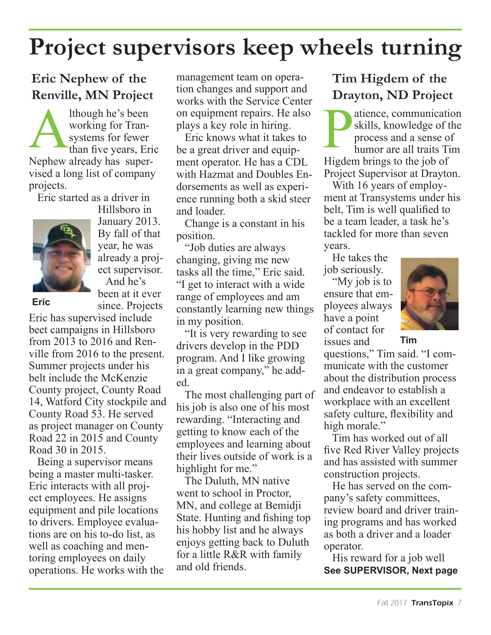### **Project supervisors keep wheels turning**

### **Eric Nephew of the Renville, MN Project**

Ithough he's been<br>
working for Tran-<br>
systems for fewer<br>
than five years, Eric<br>
Nephave sheets her summ working for Transystems for fewer Nephew already has supervised a long list of company projects.

Eric started as a driver in



Hillsboro in January 2013. By fall of that year, he was already a project supervisor. And he's been at it ever

since. Projects

**Eric**

Eric has supervised include beet campaigns in Hillsboro from 2013 to 2016 and Renville from 2016 to the present. Summer projects under his belt include the McKenzie County project, County Road 14, Watford City stockpile and County Road 53. He served as project manager on County Road 22 in 2015 and County Road 30 in 2015.

 Being a supervisor means being a master multi-tasker. Eric interacts with all project employees. He assigns equipment and pile locations to drivers. Employee evaluations are on his to-do list, as well as coaching and mentoring employees on daily operations. He works with the management team on operation changes and support and works with the Service Center on equipment repairs. He also plays a key role in hiring.

 Eric knows what it takes to be a great driver and equipment operator. He has a CDL with Hazmat and Doubles Endorsements as well as experience running both a skid steer and loader.

 Change is a constant in his position.

 "Job duties are always changing, giving me new tasks all the time," Eric said. "I get to interact with a wide range of employees and am constantly learning new things in my position.

 "It is very rewarding to see drivers develop in the PDD program. And I like growing in a great company," he added.

 The most challenging part of his job is also one of his most rewarding. "Interacting and getting to know each of the employees and learning about their lives outside of work is a highlight for me."

 The Duluth, MN native went to school in Proctor, MN, and college at Bemidji State. Hunting and fishing top his hobby list and he always enjoys getting back to Duluth for a little R&R with family and old friends.

#### **Tim Higdem of the Drayton, ND Project**

atience, communication skills, knowledge of the process and a sense of humor are all traits Tim Higdem brings to the job of Project Supervisor at Drayton.

 With 16 years of employment at Transystems under his belt, Tim is well qualified to be a team leader, a task he's tackled for more than seven years.

 He takes the job seriously.

"My job is to ensure that employees always have a point of contact for issues and



**Tim**

questions," Tim said. "I communicate with the customer about the distribution process and endeavor to establish a workplace with an excellent safety culture, flexibility and high morale."

 Tim has worked out of all five Red River Valley projects and has assisted with summer construction projects.

 He has served on the company's safety committees, review board and driver training programs and has worked as both a driver and a loader operator.

 His reward for a job well **See SUPERVISOR, Next page**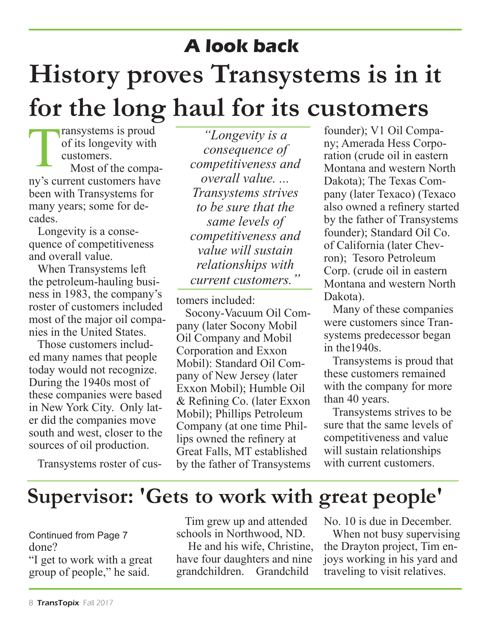# **History proves Transystems is in it for the long haul for its customers A look back**

Transystems is proud of its longevity with customers. Most of the company's current customers have been with Transystems for many years; some for decades.

 Longevity is a consequence of competitiveness and overall value.

 When Transystems left the petroleum-hauling business in 1983, the company's roster of customers included most of the major oil companies in the United States.

 Those customers included many names that people today would not recognize. During the 1940s most of these companies were based in New York City. Only later did the companies move south and west, closer to the sources of oil production.

Transystems roster of cus-

*"Longevity is a consequence of competitiveness and overall value. ... Transystems strives to be sure that the same levels of competitiveness and value will sustain relationships with current customers."*

tomers included:

 Socony-Vacuum Oil Company (later Socony Mobil Oil Company and Mobil Corporation and Exxon Mobil): Standard Oil Company of New Jersey (later Exxon Mobil); Humble Oil & Refining Co. (later Exxon Mobil); Phillips Petroleum Company (at one time Phillips owned the refinery at Great Falls, MT established by the father of Transystems

founder); V1 Oil Company; Amerada Hess Corporation (crude oil in eastern Montana and western North Dakota); The Texas Company (later Texaco) (Texaco also owned a refinery started by the father of Transystems founder); Standard Oil Co. of California (later Chevron); Tesoro Petroleum Corp. (crude oil in eastern Montana and western North Dakota).

 Many of these companies were customers since Transystems predecessor began in the1940s.

 Transystems is proud that these customers remained with the company for more than 40 years.

 Transystems strives to be sure that the same levels of competitiveness and value will sustain relationships with current customers.

### **Supervisor: 'Gets to work with great people'**

Continued from Page 7 done?

"I get to work with a great group of people," he said.

 Tim grew up and attended schools in Northwood, ND.

 He and his wife, Christine, have four daughters and nine grandchildren. Grandchild

No. 10 is due in December.

 When not busy supervising the Drayton project, Tim enjoys working in his yard and traveling to visit relatives.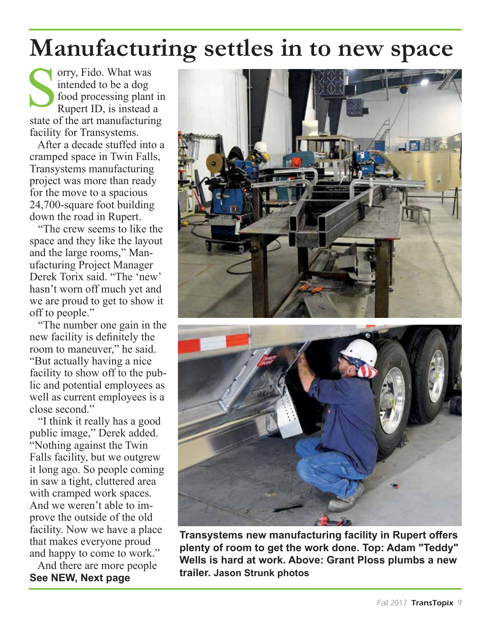### **Manufacturing settles in to new space**

orry, Fido. What was intended to be a dog food processing plant in Rupert ID, is instead a state of the art manufacturing facility for Transystems.

 After a decade stuffed into a cramped space in Twin Falls, Transystems manufacturing project was more than ready for the move to a spacious 24,700-square foot building down the road in Rupert.

 "The crew seems to like the space and they like the layout and the large rooms," Manufacturing Project Manager Derek Torix said. "The 'new' hasn't worn off much yet and we are proud to get to show it off to people."

 "The number one gain in the new facility is definitely the room to maneuver," he said. "But actually having a nice facility to show off to the public and potential employees as well as current employees is a close second."

 "I think it really has a good public image," Derek added. "Nothing against the Twin Falls facility, but we outgrew it long ago. So people coming in saw a tight, cluttered area with cramped work spaces. And we weren't able to improve the outside of the old facility. Now we have a place that makes everyone proud and happy to come to work."

 And there are more people **See NEW, Next page** 



**Transystems new manufacturing facility in Rupert offers plenty of room to get the work done. Top: Adam "Teddy" Wells is hard at work. Above: Grant Ploss plumbs a new trailer. Jason Strunk photos**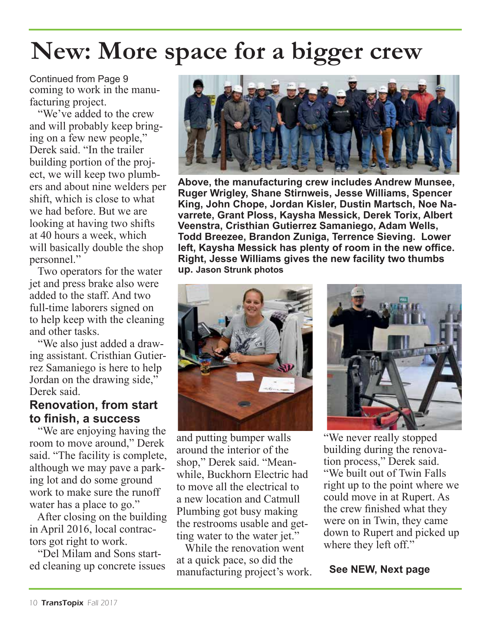### **New: More space for a bigger crew**

Continued from Page 9 coming to work in the manufacturing project.

 "We've added to the crew and will probably keep bringing on a few new people," Derek said. "In the trailer building portion of the project, we will keep two plumbers and about nine welders per shift, which is close to what we had before. But we are looking at having two shifts at 40 hours a week, which will basically double the shop personnel."

 Two operators for the water jet and press brake also were added to the staff. And two full-time laborers signed on to help keep with the cleaning and other tasks.

 "We also just added a drawing assistant. Cristhian Gutierrez Samaniego is here to help Jordan on the drawing side," Derek said.

#### **Renovation, from start to finish, a success**

 "We are enjoying having the room to move around," Derek said. "The facility is complete, although we may pave a parking lot and do some ground work to make sure the runoff water has a place to go."

 After closing on the building in April 2016, local contractors got right to work.

 "Del Milam and Sons started cleaning up concrete issues



**Above, the manufacturing crew includes Andrew Munsee, Ruger Wrigley, Shane Stirnweis, Jesse Williams, Spencer King, John Chope, Jordan Kisler, Dustin Martsch, Noe Navarrete, Grant Ploss, Kaysha Messick, Derek Torix, Albert Veenstra, Cristhian Gutierrez Samaniego, Adam Wells, Todd Breezee, Brandon Zuniga, Terrence Sieving. Lower left, Kaysha Messick has plenty of room in the new office. Right, Jesse Williams gives the new facility two thumbs up. Jason Strunk photos**



and putting bumper walls around the interior of the shop," Derek said. "Meanwhile, Buckhorn Electric had to move all the electrical to a new location and Catmull Plumbing got busy making the restrooms usable and getting water to the water jet."

 While the renovation went at a quick pace, so did the manufacturing project's work.



"We never really stopped building during the renovation process," Derek said. "We built out of Twin Falls right up to the point where we could move in at Rupert. As the crew finished what they were on in Twin, they came down to Rupert and picked up where they left off."

#### **See NEW, Next page**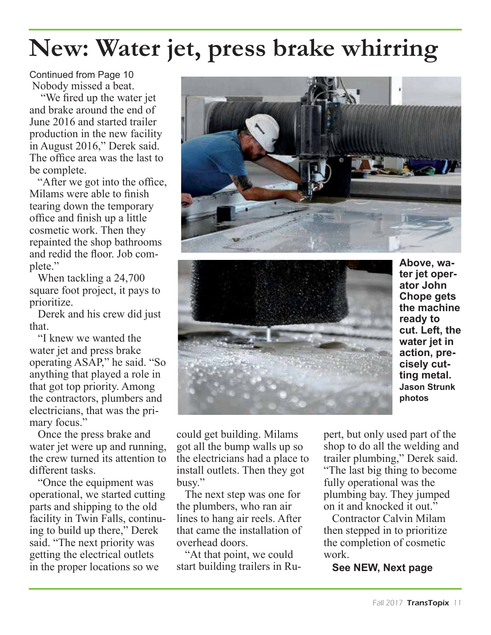## **New: Water jet, press brake whirring**

Continued from Page 10 Nobody missed a beat.

 "We fired up the water jet and brake around the end of June 2016 and started trailer production in the new facility in August 2016," Derek said. The office area was the last to be complete.

 "After we got into the office, Milams were able to finish tearing down the temporary office and finish up a little cosmetic work. Then they repainted the shop bathrooms and redid the floor. Job complete."

 When tackling a 24,700 square foot project, it pays to prioritize.

 Derek and his crew did just that.

 "I knew we wanted the water jet and press brake operating ASAP," he said. "So anything that played a role in that got top priority. Among the contractors, plumbers and electricians, that was the primary focus."

 Once the press brake and water jet were up and running. the crew turned its attention to different tasks.

 "Once the equipment was operational, we started cutting parts and shipping to the old facility in Twin Falls, continuing to build up there," Derek said. "The next priority was getting the electrical outlets in the proper locations so we





**Above, water jet operator John Chope gets the machine ready to cut. Left, the water jet in action, precisely cutting metal. Jason Strunk photos**

could get building. Milams got all the bump walls up so the electricians had a place to install outlets. Then they got busy."

 The next step was one for the plumbers, who ran air lines to hang air reels. After that came the installation of overhead doors.

 "At that point, we could start building trailers in Rupert, but only used part of the shop to do all the welding and trailer plumbing," Derek said. "The last big thing to become fully operational was the plumbing bay. They jumped on it and knocked it out."

 Contractor Calvin Milam then stepped in to prioritize the completion of cosmetic work.

**See NEW, Next page**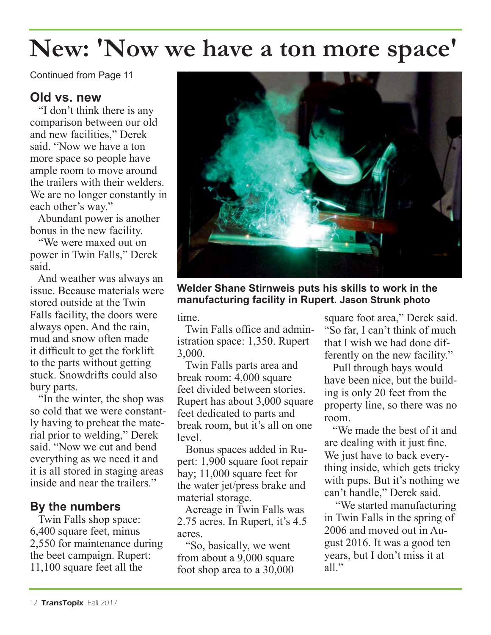### **New: 'Now we have a ton more space'**

Continued from Page 11

#### **Old vs. new**

 "I don't think there is any comparison between our old and new facilities," Derek said. "Now we have a ton more space so people have ample room to move around the trailers with their welders. We are no longer constantly in each other's way."

 Abundant power is another bonus in the new facility.

 "We were maxed out on power in Twin Falls," Derek said.

 And weather was always an issue. Because materials were stored outside at the Twin Falls facility, the doors were always open. And the rain, mud and snow often made it difficult to get the forklift to the parts without getting stuck. Snowdrifts could also bury parts.

 "In the winter, the shop was so cold that we were constantly having to preheat the material prior to welding," Derek said. "Now we cut and bend everything as we need it and it is all stored in staging areas inside and near the trailers."

#### **By the numbers**

 Twin Falls shop space: 6,400 square feet, minus 2,550 for maintenance during the beet campaign. Rupert: 11,100 square feet all the



**Welder Shane Stirnweis puts his skills to work in the manufacturing facility in Rupert. Jason Strunk photo**

time.

 Twin Falls office and administration space: 1,350. Rupert 3,000.

 Twin Falls parts area and break room: 4,000 square feet divided between stories. Rupert has about 3,000 square feet dedicated to parts and break room, but it's all on one level.

 Bonus spaces added in Rupert: 1,900 square foot repair bay; 11,000 square feet for the water jet/press brake and material storage.

 Acreage in Twin Falls was 2.75 acres. In Rupert, it's 4.5 acres.

 "So, basically, we went from about a 9,000 square foot shop area to a 30,000

square foot area," Derek said. "So far, I can't think of much that I wish we had done differently on the new facility."

 Pull through bays would have been nice, but the building is only 20 feet from the property line, so there was no room.

 "We made the best of it and are dealing with it just fine. We just have to back everything inside, which gets tricky with pups. But it's nothing we can't handle," Derek said.

 "We started manufacturing in Twin Falls in the spring of 2006 and moved out in August 2016. It was a good ten years, but I don't miss it at all"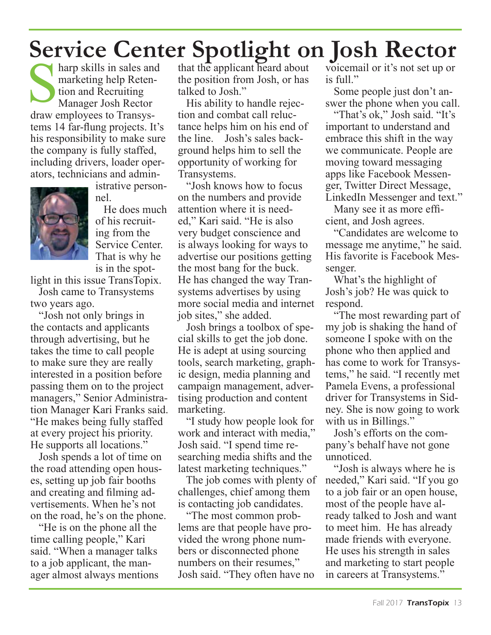### **Service Center Spotlight on Josh Rector**

harp skills in sales and marketing help Retention and Recruiting Manager Josh Rector draw employees to Transystems 14 far-flung projects. It's his responsibility to make sure the company is fully staffed, including drivers, loader operators, technicians and admin-



istrative personnel.

 He does much of his recruiting from the Service Center. That is why he is in the spot-

light in this issue TransTopix.

 Josh came to Transystems two years ago.

 "Josh not only brings in the contacts and applicants through advertising, but he takes the time to call people to make sure they are really interested in a position before passing them on to the project managers," Senior Administration Manager Kari Franks said. "He makes being fully staffed at every project his priority. He supports all locations."

 Josh spends a lot of time on the road attending open houses, setting up job fair booths and creating and filming advertisements. When he's not on the road, he's on the phone.

 "He is on the phone all the time calling people," Kari said. "When a manager talks to a job applicant, the manager almost always mentions that the applicant heard about the position from Josh, or has talked to Josh."

 His ability to handle rejection and combat call reluctance helps him on his end of the line. Josh's sales background helps him to sell the opportunity of working for Transystems.

 "Josh knows how to focus on the numbers and provide attention where it is needed," Kari said. "He is also very budget conscience and is always looking for ways to advertise our positions getting the most bang for the buck. He has changed the way Transystems advertises by using more social media and internet job sites," she added.

 Josh brings a toolbox of special skills to get the job done. He is adept at using sourcing tools, search marketing, graphic design, media planning and campaign management, advertising production and content marketing.

 "I study how people look for work and interact with media," Josh said. "I spend time researching media shifts and the latest marketing techniques."

 The job comes with plenty of challenges, chief among them is contacting job candidates.

 "The most common problems are that people have provided the wrong phone numbers or disconnected phone numbers on their resumes," Josh said. "They often have no voicemail or it's not set up or is full."

 Some people just don't answer the phone when you call.

 "That's ok," Josh said. "It's important to understand and embrace this shift in the way we communicate. People are moving toward messaging apps like Facebook Messenger, Twitter Direct Message, LinkedIn Messenger and text."

 Many see it as more efficient, and Josh agrees.

 "Candidates are welcome to message me anytime," he said. His favorite is Facebook Messenger.

 What's the highlight of Josh's job? He was quick to respond.

 "The most rewarding part of my job is shaking the hand of someone I spoke with on the phone who then applied and has come to work for Transystems," he said. "I recently met Pamela Evens, a professional driver for Transystems in Sidney. She is now going to work with us in Billings."

 Josh's efforts on the company's behalf have not gone unnoticed.

 "Josh is always where he is needed," Kari said. "If you go to a job fair or an open house, most of the people have already talked to Josh and want to meet him. He has already made friends with everyone. He uses his strength in sales and marketing to start people in careers at Transystems."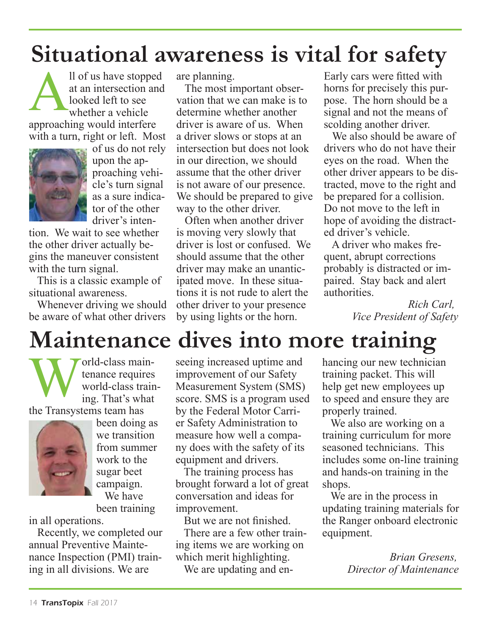### **Situational awareness is vital for safety**

Il of us have stopped<br>at an intersection and<br>looked left to see<br>whether a vehicle at an intersection and looked left to see whether a vehicle approaching would interfere with a turn, right or left. Most



of us do not rely upon the approaching vehicle's turn signal as a sure indicator of the other driver's inten-

tion. We wait to see whether the other driver actually begins the maneuver consistent with the turn signal.

 This is a classic example of situational awareness.

 Whenever driving we should be aware of what other drivers

are planning.

 The most important observation that we can make is to determine whether another driver is aware of us. When a driver slows or stops at an intersection but does not look in our direction, we should assume that the other driver is not aware of our presence. We should be prepared to give way to the other driver.

 Often when another driver is moving very slowly that driver is lost or confused. We should assume that the other driver may make an unanticipated move. In these situations it is not rude to alert the other driver to your presence by using lights or the horn.

Early cars were fitted with horns for precisely this purpose. The horn should be a signal and not the means of scolding another driver.

 We also should be aware of drivers who do not have their eyes on the road. When the other driver appears to be distracted, move to the right and be prepared for a collision. Do not move to the left in hope of avoiding the distracted driver's vehicle.

 A driver who makes frequent, abrupt corrections probably is distracted or impaired. Stay back and alert authorities.

> *Rich Carl, Vice President of Safety*

### **Maintenance dives into more training**

World-class main-<br>tenance requires<br>world-class train<br>ing. That's what tenance requires world-class training. That's what

the Transystems team has



been doing as we transition from summer work to the sugar beet campaign. We have been training

in all operations.

 Recently, we completed our annual Preventive Maintenance Inspection (PMI) training in all divisions. We are

seeing increased uptime and improvement of our Safety Measurement System (SMS) score. SMS is a program used by the Federal Motor Carrier Safety Administration to measure how well a company does with the safety of its equipment and drivers.

 The training process has brought forward a lot of great conversation and ideas for improvement.

But we are not finished.

 There are a few other training items we are working on which merit highlighting.

We are updating and en-

hancing our new technician training packet. This will help get new employees up to speed and ensure they are properly trained.

 We also are working on a training curriculum for more seasoned technicians. This includes some on-line training and hands-on training in the shops.

 We are in the process in updating training materials for the Ranger onboard electronic equipment.

> *Brian Gresens, Director of Maintenance*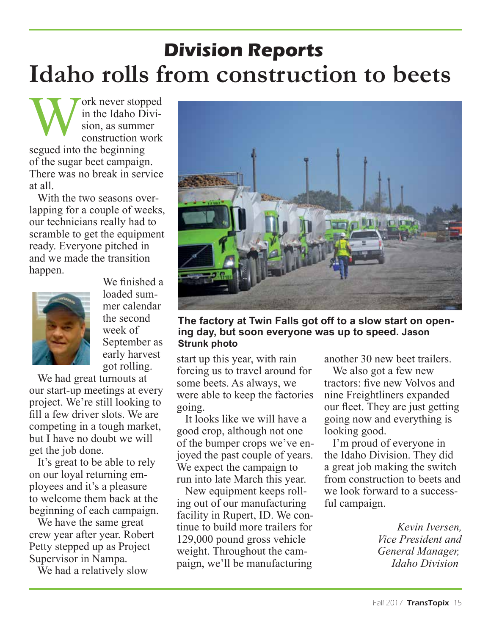### **Idaho rolls from construction to beets Division Reports**

Work never stopped<br>in the Idaho Division, as summer<br>construction work in the Idaho Division, as summer construction work segued into the beginning of the sugar beet campaign. There was no break in service at all.

 With the two seasons overlapping for a couple of weeks, our technicians really had to scramble to get the equipment ready. Everyone pitched in and we made the transition happen.



We finished a loaded summer calendar the second week of September as early harvest got rolling.

 We had great turnouts at our start-up meetings at every project. We're still looking to fill a few driver slots. We are competing in a tough market, but I have no doubt we will get the job done.

 It's great to be able to rely on our loyal returning employees and it's a pleasure to welcome them back at the beginning of each campaign.

 We have the same great crew year after year. Robert Petty stepped up as Project Supervisor in Nampa.

We had a relatively slow



**The factory at Twin Falls got off to a slow start on opening day, but soon everyone was up to speed. Jason Strunk photo**

start up this year, with rain forcing us to travel around for some beets. As always, we were able to keep the factories going.

 It looks like we will have a good crop, although not one of the bumper crops we've enjoyed the past couple of years. We expect the campaign to run into late March this year.

 New equipment keeps rolling out of our manufacturing facility in Rupert, ID. We continue to build more trailers for 129,000 pound gross vehicle weight. Throughout the campaign, we'll be manufacturing

another 30 new beet trailers.

 We also got a few new tractors: five new Volvos and nine Freightliners expanded our fleet. They are just getting going now and everything is looking good.

 I'm proud of everyone in the Idaho Division. They did a great job making the switch from construction to beets and we look forward to a successful campaign.

> *Kevin Iversen, Vice President and General Manager, Idaho Division*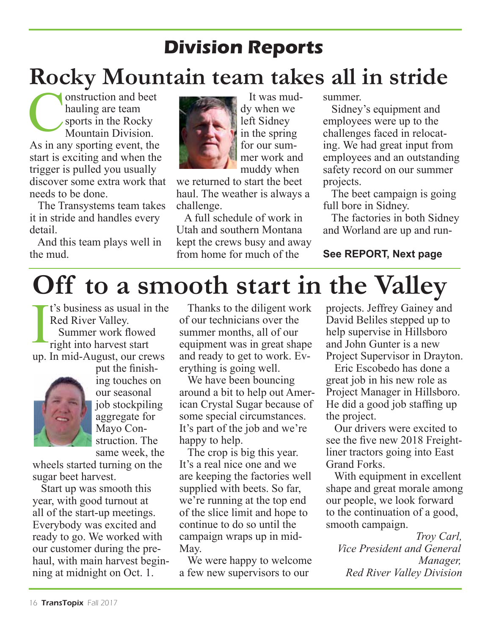### **Division Reports**

### **Rocky Mountain team takes all in stride**

onstruction and beet hauling are team sports in the Rocky Mountain Division. As in any sporting event, the start is exciting and when the trigger is pulled you usually discover some extra work that needs to be done.

 The Transystems team takes it in stride and handles every detail.

 And this team plays well in the mud.



 It was muddy when we left Sidney in the spring for our summer work and muddy when

we returned to start the beet haul. The weather is always a challenge.

 A full schedule of work in Utah and southern Montana kept the crews busy and away from home for much of the

summer.

 Sidney's equipment and employees were up to the challenges faced in relocating. We had great input from employees and an outstanding safety record on our summer projects.

 The beet campaign is going full bore in Sidney.

 The factories in both Sidney and Worland are up and run-

#### **See REPORT, Next page**

# **Off to a smooth start in the Valley**

I t's business as usual in the Red River Valley. Summer work flowed right into harvest start up. In mid-August, our crews



put the finishing touches on our seasonal job stockpiling aggregate for Mayo Construction. The same week, the

wheels started turning on the sugar beet harvest.

 Start up was smooth this year, with good turnout at all of the start-up meetings. Everybody was excited and ready to go. We worked with our customer during the prehaul, with main harvest beginning at midnight on Oct. 1.

 Thanks to the diligent work of our technicians over the summer months, all of our equipment was in great shape and ready to get to work. Everything is going well.

We have been bouncing around a bit to help out American Crystal Sugar because of some special circumstances. It's part of the job and we're happy to help.

 The crop is big this year. It's a real nice one and we are keeping the factories well supplied with beets. So far, we're running at the top end of the slice limit and hope to continue to do so until the campaign wraps up in mid-May.

 We were happy to welcome a few new supervisors to our

projects. Jeffrey Gainey and David Beliles stepped up to help supervise in Hillsboro and John Gunter is a new Project Supervisor in Drayton.

 Eric Escobedo has done a great job in his new role as Project Manager in Hillsboro. He did a good job staffing up the project.

 Our drivers were excited to see the five new 2018 Freightliner tractors going into East Grand Forks.

 With equipment in excellent shape and great morale among our people, we look forward to the continuation of a good, smooth campaign.

*Troy Carl, Vice President and General Manager, Red River Valley Division*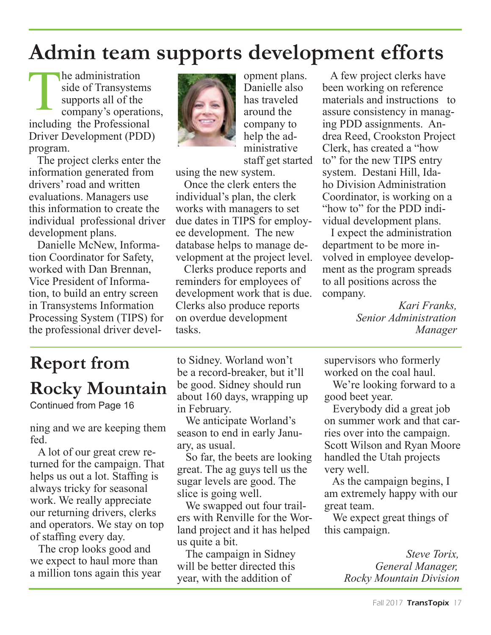### **Admin team supports development efforts**

The administration<br>
side of Transystems<br>
supports all of the<br>
company's operations,<br>
including the Professional side of Transystems supports all of the including the Professional Driver Development (PDD) program.

 The project clerks enter the information generated from drivers' road and written evaluations. Managers use this information to create the individual professional driver development plans.

 Danielle McNew, Information Coordinator for Safety, worked with Dan Brennan, Vice President of Information, to build an entry screen in Transystems Information Processing System (TIPS) for the professional driver devel-



opment plans. Danielle also has traveled around the company to help the administrative staff get started

using the new system.

 Once the clerk enters the individual's plan, the clerk works with managers to set due dates in TIPS for employee development. The new database helps to manage development at the project level.

 Clerks produce reports and reminders for employees of development work that is due. Clerks also produce reports on overdue development tasks.

 A few project clerks have been working on reference materials and instructions to assure consistency in managing PDD assignments. Andrea Reed, Crookston Project Clerk, has created a "how to" for the new TIPS entry system. Destani Hill, Idaho Division Administration Coordinator, is working on a "how to" for the PDD individual development plans.

 I expect the administration department to be more involved in employee development as the program spreads to all positions across the company.

> *Kari Franks, Senior Administration Manager*

### **Report from Rocky Mountain**

Continued from Page 16

ning and we are keeping them fed.

 A lot of our great crew returned for the campaign. That helps us out a lot. Staffing is always tricky for seasonal work. We really appreciate our returning drivers, clerks and operators. We stay on top of staffing every day.

 The crop looks good and we expect to haul more than a million tons again this year to Sidney. Worland won't be a record-breaker, but it'll be good. Sidney should run about 160 days, wrapping up in February.

 We anticipate Worland's season to end in early January, as usual.

 So far, the beets are looking great. The ag guys tell us the sugar levels are good. The slice is going well.

 We swapped out four trailers with Renville for the Worland project and it has helped us quite a bit.

 The campaign in Sidney will be better directed this year, with the addition of

supervisors who formerly worked on the coal haul.

 We're looking forward to a good beet year.

 Everybody did a great job on summer work and that carries over into the campaign. Scott Wilson and Ryan Moore handled the Utah projects very well.

 As the campaign begins, I am extremely happy with our great team.

 We expect great things of this campaign.

> *Steve Torix, General Manager, Rocky Mountain Division*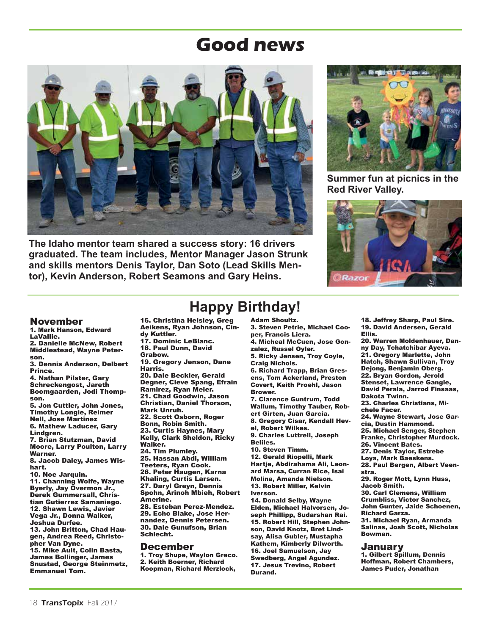### **Good news**



**The Idaho mentor team shared a success story: 16 drivers graduated. The team includes, Mentor Manager Jason Strunk and skills mentors Denis Taylor, Dan Soto (Lead Skills Mentor), Kevin Anderson, Robert Seamons and Gary Heins.**



**Summer fun at picnics in the Red River Valley.** 



#### November

1. Mark Hanson, Edward LaVallie. 2. Danielle McNew, Robert Middlestead, Wayne Peterson. 3. Dennis Anderson, Delbert Prince. 4. Nathan Pilster, Gary Schreckengost, Jareth Boomgaarden, Jodi Thompson. 5. Jon Cuttler, John Jones, Timothy Longie, Reimer Nell, Jose Martinez 6. Mathew Laducer, Gary Lindgren. 7. Brian Stutzman, David Moore, Larry Poulton, Larry Warner. 8. Jacob Daley, James Wishart. 10. Noe Jarquin. 11. Channing Wolfe, Wayne Byerly, Jay Overmon Jr., Derek Gummersall, Christian Gutierrez Samaniego. 12. Shawn Lewis, Javier Vega Jr., Donna Walker, Joshua Durfee. 13. John Britton, Chad Haugen, Andrea Reed, Christopher Van Dyne. 15. Mike Ault, Colin Basta, James Bollinger, James Snustad, George Steinmetz, Emmanuel Tom.

### **Happy Birthday!**

16. Christina Helsley, Greg Aeikens, Ryan Johnson, Cindy Kuttler.

- 17. Dominic LeBlanc. 18. Paul Dunn, David
- Grabow.

19. Gregory Jenson, Dane Harris.

20. Dale Beckler, Gerald Degner, Cleve Spang, Efrain Ramirez, Ryan Meier. 21. Chad Goodwin, Jason Christian, Daniel Thorson, Mark Unruh. 22. Scott Osborn, Roger Bonn, Robin Smith. 23. Curtis Haynes, Mary Kelly, Clark Sheldon, Ricky Walker. 24. Tim Plumley. 25. Hassan Abdi, William Teeters, Ryan Cook. 26. Peter Haugen, Karna Khaling, Curtis Larsen. 27. Daryl Greyn, Dennis Spohn, Arinoh Mbieh, Robert Amerine. 28. Esteban Perez-Mendez. 29. Echo Blake, Jose Hernandez, Dennis Petersen. 30. Dale Gunufson, Brian Schlecht.

#### December

1. Troy Shupe, Waylon Greco. 2. Keith Boerner, Richard Koopman, Richard Merzlock,

#### Adam Shoultz.

3. Steven Petrie, Michael Cooper, Francis Liera. 4. Micheal McCuen, Jose Gon-

zalez, Russel Oyler. 5. Ricky Jensen, Troy Coyle,

Craig Nichols.

6. Richard Trapp, Brian Gresens, Tom Ackerland, Preston Covert, Keith Proehl, Jason Brower.

7. Clarence Guntrum, Todd Wallum, Timothy Tauber, Robert Girten, Juan Garcia.

8. Gregory Cisar, Kendall Hevel, Robert Wilkes.

9. Charles Luttrell, Joseph Beliles.

10. Steven Timm. 12. Gerald Riopelli, Mark Hartje, Abdirahama Ali, Leonard Marsa, Curran Rice, Isai Molina, Amanda Nielson. 13. Robert Miller, Kelvin Iverson.

14. Donald Selby, Wayne Elden, Michael Halvorsen, Joseph Phillipp, Sudarshan Rai. 15. Robert Hill, Stephen Johnson, David Knotz, Bret Lindsay, Alisa Gubler, Mustapha Kathem, Kimberly Dilworth. 16. Joel Samuelson, Jay Swedberg, Angel Agundez. 17. Jesus Trevino, Robert Durand.

18. Jeffrey Sharp, Paul Sire. 19. David Andersen, Gerald Ellis.

20. Warren Moldenhauer, Danny Day, Tchatchibar Ayeva. 21. Gregory Marlette, John Hatch, Shawn Sullivan, Troy Dejong, Benjamin Oberg. 22. Bryan Gordon, Jerold Stenset, Lawrence Gangle, David Perala, Jarrod Finsaas, Dakota Twinn. 23. Charles Christians, Michele Facer. 24. Wayne Stewart, Jose Garcia, Dustin Hammond. 25. Michael Senger, Stephen Franke, Christopher Murdock. 26. Vincent Bates. 27. Denis Taylor, Estrebe Loya, Mark Baeskens. 28. Paul Bergen, Albert Veenstra. 29. Roger Mott, Lynn Huss, Jacob Smith. 30. Carl Clemens, William Crumbliss, Victor Sanchez, John Gunter, Jaide Schoenen, Richard Garza. 31. Michael Ryan, Armanda Salinas, Josh Scott, Nicholas Bowman. January

1. Gilbert Spillum, Dennis Hoffman, Robert Chambers, James Puder, Jonathan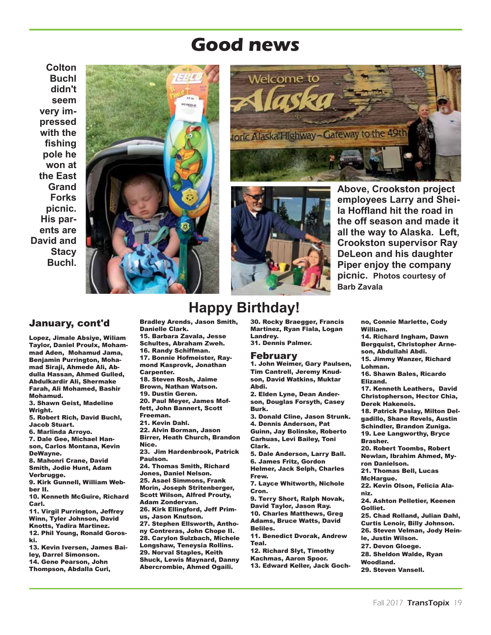### **Good news**

**Colton Buchl didn't seem very impressed with the fishing pole he won at the East Grand Forks picnic. His parents are David and Stacy Buchl.**

![](_page_18_Picture_2.jpeg)

![](_page_18_Picture_3.jpeg)

![](_page_18_Picture_4.jpeg)

**Above, Crookston project employees Larry and Sheila Hoffland hit the road in the off season and made it all the way to Alaska. Left, Crookston supervisor Ray DeLeon and his daughter Piper enjoy the company picnic. Photos courtesy of Barb Zavala** 

#### January, cont'd

Lopez, Jimale Absiye, Wiliam Taylor, Daniel Proulx, Mohammad Aden, Mohamud Jama, Benjamin Purrington, Mohamad Siraji, Ahmede Ali, Abdulla Hassan, Ahmed Gulled, Abdulkardir Ali, Shermake Farah, Ali Mohamed, Bashir Mohamud. 3. Shawn Geist, Madeline Wright. 5. Robert Rich, David Buchl, Jacob Stuart. 6. Marlinda Arroyo. 7. Dale Gee, Michael Hanson, Carlos Montana, Kevin DeWayne. 8. Mahonri Crane, David Smith, Jodie Hunt, Adam Verbrugge. 9. Kirk Gunnell, William Webber II. 10. Kenneth McGuire, Richard Carl. 11. Virgil Purrington, Jeffrey Winn, Tyler Johnson, David Knotts, Yadira Martinez. 12. Phil Young, Ronald Goroski. 13. Kevin Iversen, James Bailey, Darrel Simonson. 14. Gene Pearson, John Thompson, Abdalla Curi,

Bradley Arends, Jason Smith, Danielle Clark. 15. Barbara Zavala, Jesse Schultes, Abraham Zweh. 16. Randy Schiffman. 17. Bonnie Hofmeister, Raymond Kasprovk, Jonathan Carpenter. 18. Steven Rosh, Jaime Brown, Nathan Watson. 19. Dustin Geren. 20. Paul Meyer, James Moffett, John Bannert, Scott Freeman. 21. Kevin Dahl. 22. Alvin Borman, Jason Birrer, Heath Church, Brandon Nice. 23. Jim Hardenbrook, Patrick Paulson. 24. Thomas Smith, Richard Jones, Daniel Nelson. 25. Asael Simmons, Frank Morin, Joseph Stritenberger, Scott Wilson, Alfred Prouty, Adam Zondervan. 26. Kirk Ellingford, Jeff Primus, Jason Knutson. 27. Stephen Ellsworth, Anthony Contreras, John Chope II. 28. Carylon Sulzbach, Michele Longshaw, Teneysia Rollins. 29. Norval Staples, Keith Shuck, Lewis Maynard, Danny Abercrombie, Ahmed Ogaili.

### **Happy Birthday!**

30. Rocky Braegger, Francis Martinez, Ryan Fiala, Logan Landrey. 31. Dennis Palmer.

#### February

1. John Weimer, Gary Paulsen, Tim Cantrell, Jeremy Knudson, David Watkins, Muktar Abdi.

2. Elden Lyne, Dean Anderson, Douglas Forsyth, Casey Burk.

3. Donald Cline, Jason Strunk. 4. Dennis Anderson, Pat Guinn, Jay Bolinske, Roberto Carhuas, Levi Bailey, Toni Clark.

5. Dale Anderson, Larry Ball. 6. James Fritz, Gordon Helmer, Jack Selph, Charles Frew.

7. Layce Whitworth, Nichole Cron.

9. Terry Short, Ralph Novak, David Taylor, Jason Ray. 10. Charles Matthews, Greg Adams, Bruce Watts, David

Beliles. 11. Benedict Dvorak, Andrew

Teal.

12. Richard Slyt, Timothy

Kachmas, Aaron Spoor. 13. Edward Keller, Jack Goch-

no, Connie Marlette, Cody William.

14. Richard Ingham, Dawn Bergquist, Christopher Arneson, Abdullahi Abdi. 15. Jimmy Wanzer, Richard Lohman. 16. Shawn Bales, Ricardo Elizand. 17. Kenneth Leathers, David Christopherson, Hector Chia, Derek Hakeneis. 18. Patrick Paslay, Milton Delgadillo, Shane Revels, Austin Schindler, Brandon Zuniga. 19. Lee Langworthy, Bryce Brasher. 20. Robert Toombs, Robert Newlan, Ibrahim Ahmed, Myron Danielson. 21. Thomas Bell, Lucas McHargue. 22. Kevin Olson, Felicia Alaniz. 24. Ashton Pelletier, Keenen Golliet. 25. Chad Rolland, Julian Dahl, Curtis Lenoir, Billy Johnson. 26. Steven Velman, Jody Heinle, Justin Wilson. 27. Devon Gloege. 28. Sheldon Walde, Ryan Woodland. 29. Steven Vansell.